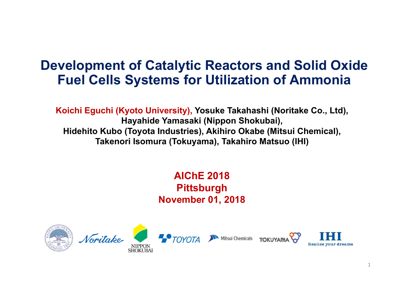## **Development of Catalytic Reactors and Solid Oxide Fuel Cells Systems for Utilization of Ammonia**

**Koichi Eguchi (Kyoto University), Yosuke Takahashi (Noritake Co., Ltd), Hayahide Yamasaki (Nippon Shokubai), Hidehito Kubo (Toyota Industries), Akihiro Okabe (Mitsui Chemical), Takenori Isomura (Tokuyama), Takahiro Matsuo (IHI)**

> **AIChE 2018 Pittsburgh November 01, 2018**

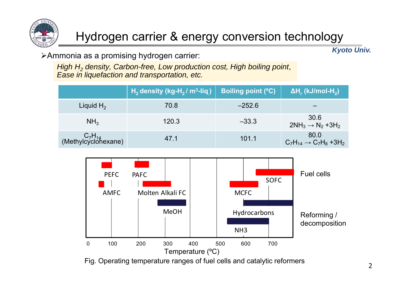

## Hydrogen carrier & energy conversion technology

*Kyoto Univ.*

Ammonia as a promising hydrogen carrier:

*High H2 density, Carbon-free, Low production cost, High boiling point*, *Ease in liquefaction and transportation, etc.*



Fig. Operating temperature ranges of fuel cells and catalytic reformers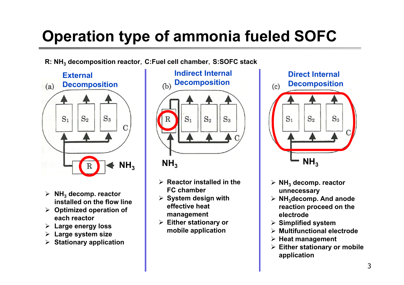# **Operation type of ammonia fueled SOFC**

**R: NH3 decomposition reactor**,**C:Fuel cell chamber**,**S:SOFC stack**



- $\triangleright$  NH<sub>3</sub> decomp. reactor **installed on the flow line**
- **Optimized operation of each reactor**
- **Large energy loss**
- **Large system size**
- $\triangleright$ **Stationary application**



 $\mathsf{NH}_3$ 

- **Reactor installed in the FC chamber**
- **System design with effective heat management**
- **Either stationary or mobile application**



- $\triangleright$  NH<sub>3</sub> decomp. reactor **unnecessary**
- $\triangleright$  NH<sub>3</sub>decomp. And anode **reaction proceed on the electrode**
- **Simplified system**
- **Multifunctional electrode**
- **Heat management**
- **Either stationary or mobile application**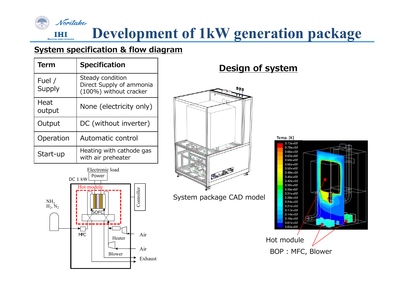

### **System specification & flow diagram**

**IHI** Realize your dreams

| <b>Term</b>      | <b>Specification</b>                                                   |
|------------------|------------------------------------------------------------------------|
| Fuel /<br>Supply | Steady condition<br>Direct Supply of ammonia<br>(100%) without cracker |
| Heat<br>output   | None (electricity only)                                                |
| Output           | DC (without inverter)                                                  |
| Operation        | Automatic control                                                      |
| Start-up         | Heating with cathode gas<br>with air preheater                         |



System package CAD model

### Temp. [K]  $3.73e + 02$  $3.70e + 02$ 3.66e+02  $3.63e+02$  $3.59e + 02$ 3.56e+02  $3.52e+02$  $3.49e + 02$  $3.45e+02$  $3.42e + 02$ 3.38e+02 3.35e+02 3.31e+02  $3.28e+02$  $3.24e + 02$ 3.21e+02 3.17e+02  $3.14e + 02$  $3.10e + 02$  $3.07e + 02$  $3.03e + 02$ Hot module BOP : MFC, Blower

### **Design of system**